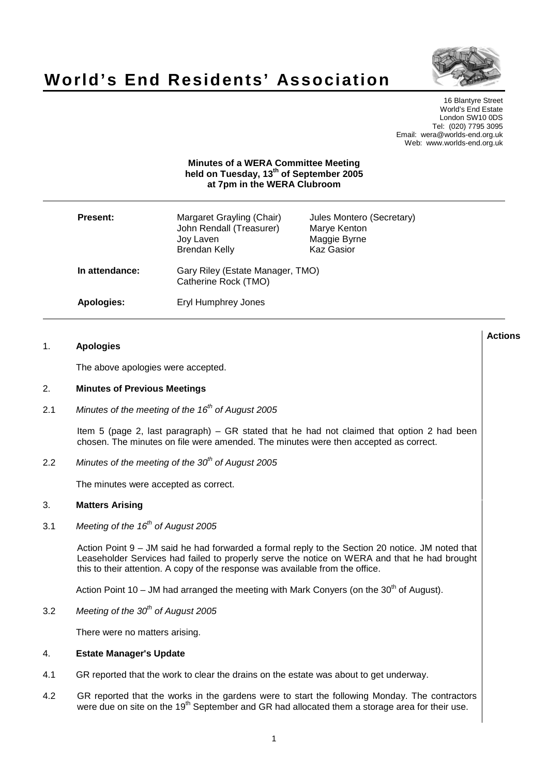

**Actions**

# **World's End Residents' Association**

16 Blantyre Street World's End Estate London SW10 0DS Tel: (020) 7795 3095 Email: wera@worlds-end.org.uk Web: www.worlds-end.org.uk

# **Minutes of a WERA Committee Meeting held on Tuesday, 13th of September 2005 at 7pm in the WERA Clubroom**

| <b>Present:</b> | Margaret Grayling (Chair)<br>John Rendall (Treasurer)<br>Joy Laven<br><b>Brendan Kelly</b> | Jules Montero (Secretary)<br>Marye Kenton<br>Maggie Byrne<br><b>Kaz Gasior</b> |
|-----------------|--------------------------------------------------------------------------------------------|--------------------------------------------------------------------------------|
| In attendance:  | Gary Riley (Estate Manager, TMO)<br>Catherine Rock (TMO)                                   |                                                                                |
| Apologies:      | Eryl Humphrey Jones                                                                        |                                                                                |

## 1. **Apologies**

The above apologies were accepted.

# 2. **Minutes of Previous Meetings**

2.1 Minutes of the meeting of the  $16<sup>th</sup>$  of August 2005

Item 5 (page 2, last paragraph) – GR stated that he had not claimed that option 2 had been chosen. The minutes on file were amended. The minutes were then accepted as correct.

2.2 Minutes of the meeting of the  $30<sup>th</sup>$  of August 2005

The minutes were accepted as correct.

## 3. **Matters Arising**

3.1 Meeting of the  $16<sup>th</sup>$  of August 2005

Action Point 9 – JM said he had forwarded a formal reply to the Section 20 notice. JM noted that Leaseholder Services had failed to properly serve the notice on WERA and that he had brought this to their attention. A copy of the response was available from the office.

Action Point 10 – JM had arranged the meeting with Mark Conyers (on the  $30<sup>th</sup>$  of August).

3.2 Meeting of the  $30<sup>th</sup>$  of August 2005

There were no matters arising.

## 4. **Estate Manager's Update**

- 4.1 GR reported that the work to clear the drains on the estate was about to get underway.
- 4.2 GR reported that the works in the gardens were to start the following Monday. The contractors were due on site on the 19<sup>th</sup> September and GR had allocated them a storage area for their use.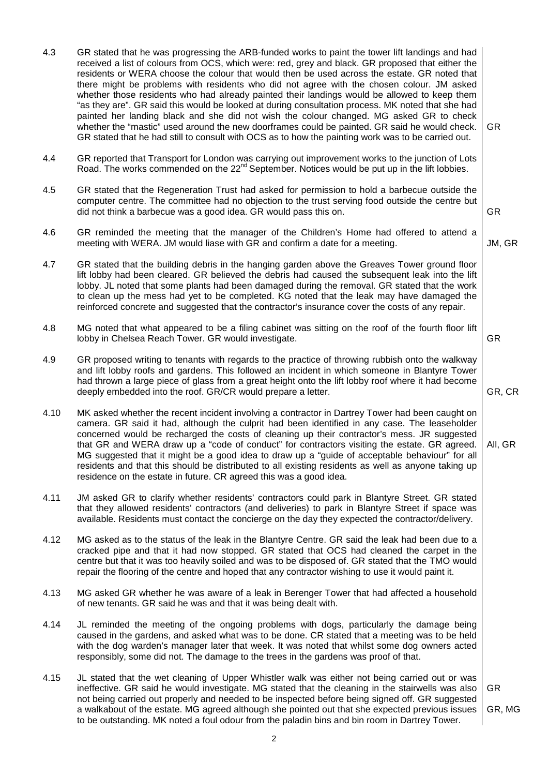| 4.3  | GR stated that he was progressing the ARB-funded works to paint the tower lift landings and had<br>received a list of colours from OCS, which were: red, grey and black. GR proposed that either the<br>residents or WERA choose the colour that would then be used across the estate. GR noted that<br>there might be problems with residents who did not agree with the chosen colour. JM asked<br>whether those residents who had already painted their landings would be allowed to keep them<br>"as they are". GR said this would be looked at during consultation process. MK noted that she had<br>painted her landing black and she did not wish the colour changed. MG asked GR to check<br>whether the "mastic" used around the new doorframes could be painted. GR said he would check.<br>GR stated that he had still to consult with OCS as to how the painting work was to be carried out. | <b>GR</b>           |
|------|----------------------------------------------------------------------------------------------------------------------------------------------------------------------------------------------------------------------------------------------------------------------------------------------------------------------------------------------------------------------------------------------------------------------------------------------------------------------------------------------------------------------------------------------------------------------------------------------------------------------------------------------------------------------------------------------------------------------------------------------------------------------------------------------------------------------------------------------------------------------------------------------------------|---------------------|
| 4.4  | GR reported that Transport for London was carrying out improvement works to the junction of Lots<br>Road. The works commended on the 22 <sup>nd</sup> September. Notices would be put up in the lift lobbies.                                                                                                                                                                                                                                                                                                                                                                                                                                                                                                                                                                                                                                                                                            |                     |
| 4.5  | GR stated that the Regeneration Trust had asked for permission to hold a barbecue outside the<br>computer centre. The committee had no objection to the trust serving food outside the centre but<br>did not think a barbecue was a good idea. GR would pass this on.                                                                                                                                                                                                                                                                                                                                                                                                                                                                                                                                                                                                                                    | <b>GR</b>           |
| 4.6  | GR reminded the meeting that the manager of the Children's Home had offered to attend a<br>meeting with WERA. JM would liase with GR and confirm a date for a meeting.                                                                                                                                                                                                                                                                                                                                                                                                                                                                                                                                                                                                                                                                                                                                   | JM, GR              |
| 4.7  | GR stated that the building debris in the hanging garden above the Greaves Tower ground floor<br>lift lobby had been cleared. GR believed the debris had caused the subsequent leak into the lift<br>lobby. JL noted that some plants had been damaged during the removal. GR stated that the work<br>to clean up the mess had yet to be completed. KG noted that the leak may have damaged the<br>reinforced concrete and suggested that the contractor's insurance cover the costs of any repair.                                                                                                                                                                                                                                                                                                                                                                                                      |                     |
| 4.8  | MG noted that what appeared to be a filing cabinet was sitting on the roof of the fourth floor lift<br>lobby in Chelsea Reach Tower. GR would investigate.                                                                                                                                                                                                                                                                                                                                                                                                                                                                                                                                                                                                                                                                                                                                               | <b>GR</b>           |
| 4.9  | GR proposed writing to tenants with regards to the practice of throwing rubbish onto the walkway<br>and lift lobby roofs and gardens. This followed an incident in which someone in Blantyre Tower<br>had thrown a large piece of glass from a great height onto the lift lobby roof where it had become<br>deeply embedded into the roof. GR/CR would prepare a letter.                                                                                                                                                                                                                                                                                                                                                                                                                                                                                                                                 | GR, CR              |
| 4.10 | MK asked whether the recent incident involving a contractor in Dartrey Tower had been caught on<br>camera. GR said it had, although the culprit had been identified in any case. The leaseholder<br>concerned would be recharged the costs of cleaning up their contractor's mess. JR suggested<br>that GR and WERA draw up a "code of conduct" for contractors visiting the estate. GR agreed.<br>MG suggested that it might be a good idea to draw up a "guide of acceptable behaviour" for all<br>residents and that this should be distributed to all existing residents as well as anyone taking up<br>residence on the estate in future. CR agreed this was a good idea.                                                                                                                                                                                                                           | All, GR             |
| 4.11 | JM asked GR to clarify whether residents' contractors could park in Blantyre Street. GR stated<br>that they allowed residents' contractors (and deliveries) to park in Blantyre Street if space was<br>available. Residents must contact the concierge on the day they expected the contractor/delivery.                                                                                                                                                                                                                                                                                                                                                                                                                                                                                                                                                                                                 |                     |
| 4.12 | MG asked as to the status of the leak in the Blantyre Centre. GR said the leak had been due to a<br>cracked pipe and that it had now stopped. GR stated that OCS had cleaned the carpet in the<br>centre but that it was too heavily soiled and was to be disposed of. GR stated that the TMO would<br>repair the flooring of the centre and hoped that any contractor wishing to use it would paint it.                                                                                                                                                                                                                                                                                                                                                                                                                                                                                                 |                     |
| 4.13 | MG asked GR whether he was aware of a leak in Berenger Tower that had affected a household<br>of new tenants. GR said he was and that it was being dealt with.                                                                                                                                                                                                                                                                                                                                                                                                                                                                                                                                                                                                                                                                                                                                           |                     |
| 4.14 | JL reminded the meeting of the ongoing problems with dogs, particularly the damage being<br>caused in the gardens, and asked what was to be done. CR stated that a meeting was to be held<br>with the dog warden's manager later that week. It was noted that whilst some dog owners acted<br>responsibly, some did not. The damage to the trees in the gardens was proof of that.                                                                                                                                                                                                                                                                                                                                                                                                                                                                                                                       |                     |
| 4.15 | JL stated that the wet cleaning of Upper Whistler walk was either not being carried out or was<br>ineffective. GR said he would investigate. MG stated that the cleaning in the stairwells was also<br>not being carried out properly and needed to be inspected before being signed off. GR suggested<br>a walkabout of the estate. MG agreed although she pointed out that she expected previous issues<br>to be outstanding. MK noted a foul odour from the paladin bins and bin room in Dartrey Tower.                                                                                                                                                                                                                                                                                                                                                                                               | <b>GR</b><br>GR, MG |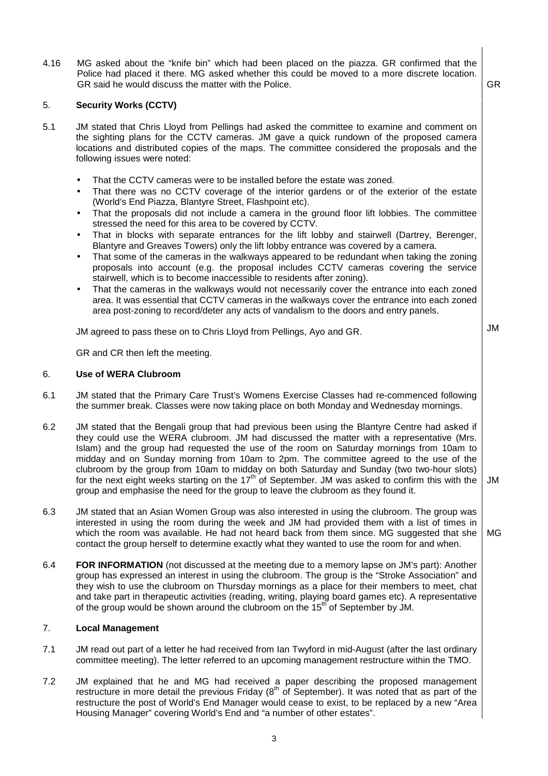4.16 MG asked about the "knife bin" which had been placed on the piazza. GR confirmed that the Police had placed it there. MG asked whether this could be moved to a more discrete location. GR said he would discuss the matter with the Police. GR said he would discuss the matter with the Police.

# 5. **Security Works (CCTV)**

- 5.1 JM stated that Chris Lloyd from Pellings had asked the committee to examine and comment on the sighting plans for the CCTV cameras. JM gave a quick rundown of the proposed camera locations and distributed copies of the maps. The committee considered the proposals and the following issues were noted:
	- That the CCTV cameras were to be installed before the estate was zoned.
	- That there was no CCTV coverage of the interior gardens or of the exterior of the estate (World's End Piazza, Blantyre Street, Flashpoint etc).
	- That the proposals did not include a camera in the ground floor lift lobbies. The committee stressed the need for this area to be covered by CCTV.
	- That in blocks with separate entrances for the lift lobby and stairwell (Dartrey, Berenger, Blantyre and Greaves Towers) only the lift lobby entrance was covered by a camera.
	- That some of the cameras in the walkways appeared to be redundant when taking the zoning proposals into account (e.g. the proposal includes CCTV cameras covering the service stairwell, which is to become inaccessible to residents after zoning).
	- That the cameras in the walkways would not necessarily cover the entrance into each zoned area. It was essential that CCTV cameras in the walkways cover the entrance into each zoned area post-zoning to record/deter any acts of vandalism to the doors and entry panels.

JM agreed to pass these on to Chris Lloyd from Pellings, Ayo and GR.

JM

GR and CR then left the meeting.

## 6. **Use of WERA Clubroom**

- 6.1 JM stated that the Primary Care Trust's Womens Exercise Classes had re-commenced following the summer break. Classes were now taking place on both Monday and Wednesday mornings.
- 6.2 JM stated that the Bengali group that had previous been using the Blantyre Centre had asked if they could use the WERA clubroom. JM had discussed the matter with a representative (Mrs. Islam) and the group had requested the use of the room on Saturday mornings from 10am to midday and on Sunday morning from 10am to 2pm. The committee agreed to the use of the clubroom by the group from 10am to midday on both Saturday and Sunday (two two-hour slots) for the next eight weeks starting on the 17<sup>th</sup> of September. JM was asked to confirm this with the group and emphasise the need for the group to leave the clubroom as they found it. JM
- 6.3 JM stated that an Asian Women Group was also interested in using the clubroom. The group was interested in using the room during the week and JM had provided them with a list of times in which the room was available. He had not heard back from them since. MG suggested that she contact the group herself to determine exactly what they wanted to use the room for and when. MG
- 6.4 **FOR INFORMATION** (not discussed at the meeting due to a memory lapse on JM's part): Another group has expressed an interest in using the clubroom. The group is the "Stroke Association" and they wish to use the clubroom on Thursday mornings as a place for their members to meet, chat and take part in therapeutic activities (reading, writing, playing board games etc). A representative of the group would be shown around the clubroom on the  $15<sup>th</sup>$  of September by JM.

## 7. **Local Management**

- 7.1 JM read out part of a letter he had received from Ian Twyford in mid-August (after the last ordinary committee meeting). The letter referred to an upcoming management restructure within the TMO.
- 7.2 JM explained that he and MG had received a paper describing the proposed management restructure in more detail the previous Friday  $(8^{th}$  of September). It was noted that as part of the restructure the post of World's End Manager would cease to exist, to be replaced by a new "Area Housing Manager" covering World's End and "a number of other estates".